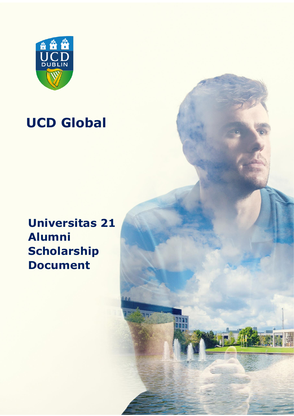

# **UCD Global**

## **Universitas 21 Alumni Scholarship Document**

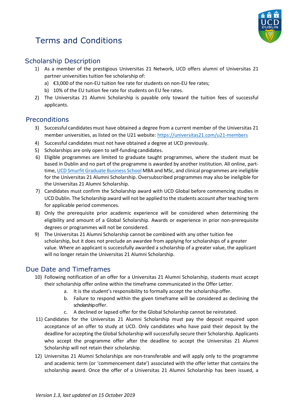

### Terms and Conditions

#### Scholarship Description

- 1) As a member of the prestigious Universitas 21 Network, UCD offers alumni of Universitas 21 partner universities tuition fee scholarship of:
	- a) €3,000 of the non-EU tuition fee rate for students on non-EU fee rates;
	- b) 10% of the EU tuition fee rate for students on EU fee rates.
- 2) The Universitas 21 Alumni Scholarship is payable only toward the tuition fees of successful applicants.

#### **Preconditions**

- 3) Successful candidates must have obtained a degree from a current member of the Universitas 21 member universities, as listed on the U21 website[: https://universitas21.com/u21-members](https://universitas21.com/u21-members)
- 4) Successful candidates must not have obtained a degree at UCD previously.
- 5) Scholarships are only open to self-funding candidates.
- 6) Eligible programmes are limited to graduate taught programmes, where the student must be based in Dublin and no part of the programme is awarded by another institution. All online, parttime[, UCD Smurfit Graduate Business School](https://www.smurfitschool.ie/) MBA and MSc, and clinical programmes are ineligible for the Universitas 21 Alumni Scholarship. Oversubscribed programmes may also be ineligible for the Universitas 21 Alumni Scholarship.
- 7) Candidates must confirm the Scholarship award with UCD Global before commencing studies in UCD Dublin. The Scholarship award will not be applied to the students account after teaching term for applicable period commences.
- 8) Only the prerequisite prior academic experience will be considered when determining the eligibility and amount of a Global Scholarship. Awards or experience in prior non-prerequisite degrees or programmes will not be considered.
- 9) The Universitas 21 Alumni Scholarship cannot be combined with any other tuition fee scholarship, but it does not preclude an awardee from applying for scholarships of a greater value. Where an applicant is successfully awarded a scholarship of a greater value, the applicant will no longer retain the Universitas 21 Alumni Scholarship.

#### Due Date and Timeframes

- 10) Following notification of an offer for a Universitas 21 Alumni Scholarship, students must accept their scholarship offer online within the timeframe communicated in the Offer Letter.
	- a. It is the student's responsibility to formally accept the scholarship offer.
	- b. Failure to respond within the given timeframe will be considered as declining the scholarship offer.
	- c. A declined or lapsed offer for the Global Scholarship cannot be reinstated.
- 11) Candidates for the Universitas 21 Alumni Scholarship must pay the deposit required upon acceptance of an offer to study at UCD. Only candidates who have paid their deposit by the deadline for accepting the Global Scholarship will successfully secure their Scholarship. Applicants who accept the programme offer after the deadline to accept the Universitas 21 Alumni Scholarship will not retain their scholarship.
- 12) Universitas 21 Alumni Scholarships are non-transferable and will apply only to the programme and academic term (or 'commencement date') associated with the offer letter that contains the scholarship award. Once the offer of a Universitas 21 Alumni Scholarship has been issued, a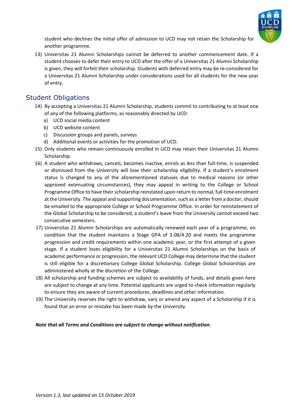

student who declines the initial offer of admission to UCD may not retain the Scholarship for another programme.

13) Universitas 21 Alumni Scholarships cannot be deferred to another commencement date. If a student chooses to defer their entry to UCD after the offer of a Universitas 21 Alumni Scholarship is given, they will forfeit their scholarship. Students with deferred entry may be re-considered for a Universitas 21 Alumni Scholarship under considerations used for all students for the new year of entry.

#### Student Obligations

- 14) By accepting a Universitas 21 Alumni Scholarship, students commit to contributing to at least one of any of the following platforms, as reasonably directed by UCD:
	- a) UCD social media content
	- b) UCD website content
	- c) Discussion groups and panels, surveys
	- d) Additional events or activities for the promotion of UCD.
- 15) Only students who remain continuously enrolled in UCD may retain their Universitas 21 Alumni Scholarship.
- 16) A student who withdraws, cancels, becomes inactive, enrols as less than full-time, is suspended or dismissed from the University will lose their scholarship eligibility. If a student's enrolment status is changed to any of the aforementioned statuses due to medical reasons (or other approved extenuating circumstances), they may appeal in writing to the College or School Programme Office to have their scholarship reinstated upon return to normal, full-time enrolment at the University. The appeal and supporting documentation, such as a letter from a doctor, should be emailed to the appropriate College or School Programme Office. In order for reinstatement of the Global Scholarship to be considered, a student's leave from the University cannot exceed two consecutive semesters.
- 17) Universitas 21 Alumni Scholarships are automatically renewed each year of a programme, on condition that the student maintains a Stage GPA of 3.08/4.20 and meets the programme progression and credit requirements within one academic year, or the first attempt of a given stage. If a student loses eligibility for a Universitas 21 Alumni Scholarships on the basis of academic performance or progression, the relevant UCD College may determine that the student is still eligible for a discretionary College Global Scholarship. College Global Scholarships are administered wholly at the discretion of the College.
- 18) All scholarship and funding schemes are subject to availability of funds, and details given here are subject to change at any time. Potential applicants are urged to check information regularly to ensure they are aware of current procedures, deadlines and other information.
- 19) The University reserves the right to withdraw, vary or amend any aspect of a Scholarship if it is found that an error or mistake has been made by the University.

*Note that all Terms and Conditions are subject to change without notification***.**